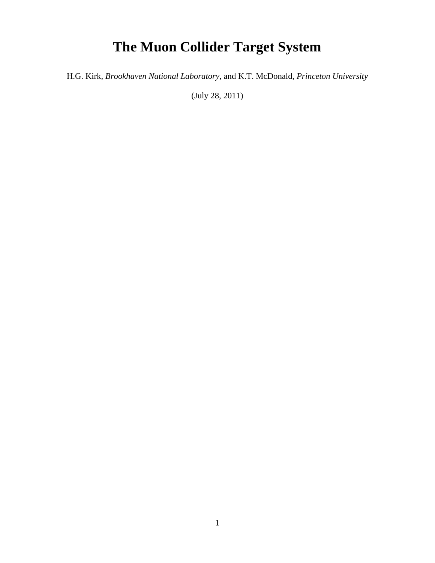## **The Muon Collider Target System**

H.G. Kirk, *Brookhaven National Laboratory,* and K.T. McDonald, *Princeton University* 

(July 28, 2011)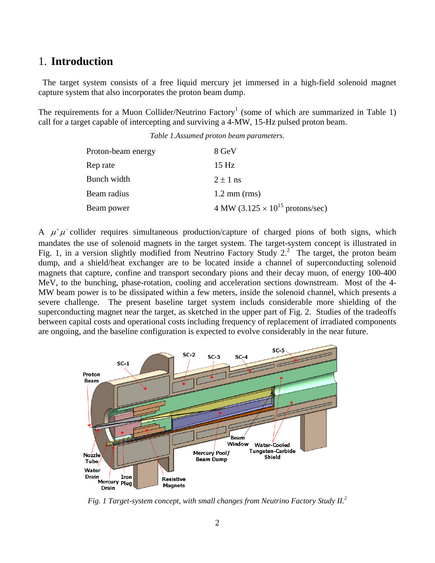## 1. **Introduction**

 The target system consists of a free liquid mercury jet immersed in a high-field solenoid magnet capture system that also incorporates the proton beam dump.

The requirements for a Muon Collider/Neutrino Factory<sup>1</sup> (some of which are summarized in Table 1) call for a target capable of intercepting and surviving a 4-MW, 15-Hz pulsed proton beam.

| Proton-beam energy | 8 GeV                                             |
|--------------------|---------------------------------------------------|
| Rep rate           | 15 <sub>Hz</sub>                                  |
| Bunch width        | $2 \pm 1$ ns                                      |
| Beam radius        | $1.2 \text{ mm (rms)}$                            |
| Beam power         | 4 MW $(3.125 \times 10^{15} \text{ protons/sec})$ |

A  $\mu^+\mu^-$  collider requires simultaneous production/capture of charged pions of both signs, which mandates the use of solenoid magnets in the target system. The target-system concept is illustrated in Fig. 1, in a version slightly modified from Neutrino Factory Study  $2^2$ . The target, the proton beam dump, and a shield/heat exchanger are to be located inside a channel of superconducting solenoid magnets that capture, confine and transport secondary pions and their decay muon, of energy 100-400 MeV, to the bunching, phase-rotation, cooling and acceleration sections downstream. Most of the 4- MW beam power is to be dissipated within a few meters, inside the solenoid channel, which presents a severe challenge. The present baseline target system includs considerable more shielding of the superconducting magnet near the target, as sketched in the upper part of Fig. 2. Studies of the tradeoffs between capital costs and operational costs including frequency of replacement of irradiated components are ongoing, and the baseline configuration is expected to evolve considerably in the near future.



*Fig. 1 Target-system concept, with small changes from Neutrino Factory Study II.<sup>2</sup>*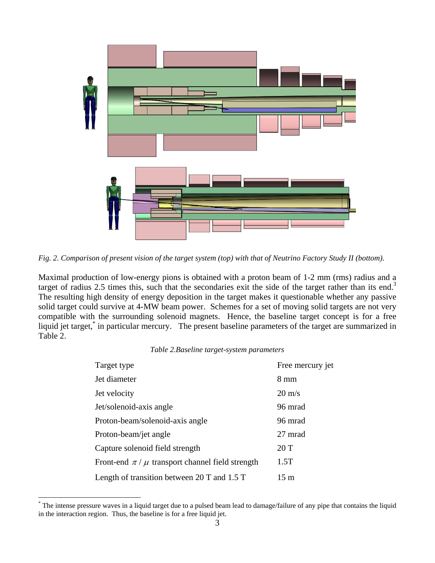

*Fig. 2. Comparison of present vision of the target system (top) with that of Neutrino Factory Study II (bottom).* 

Maximal production of low-energy pions is obtained with a proton beam of 1-2 mm (rms) radius and a target of radius 2.5 times this, such that the secondaries exit the side of the target rather than its end.<sup>3</sup> The resulting high density of energy deposition in the target makes it questionable whether any passive solid target could survive at 4-MW beam power. Schemes for a set of moving solid targets are not very compatible with the surrounding solenoid magnets. Hence, the baseline target concept is for a free liquid jet target,<sup>\*</sup> in particular mercury. The present baseline parameters of the target are summarized in Table 2.

## *Table 2.Baseline target-system parameters*

| Target type                                            | Free mercury jet |
|--------------------------------------------------------|------------------|
| Jet diameter                                           | $8 \text{ mm}$   |
| Jet velocity                                           | $20 \text{ m/s}$ |
| Jet/solenoid-axis angle                                | 96 mrad          |
| Proton-beam/solenoid-axis angle                        | 96 mrad          |
| Proton-beam/jet angle                                  | 27 mrad          |
| Capture solenoid field strength                        | 20T              |
| Front-end $\pi / \mu$ transport channel field strength | 1.5T             |
| Length of transition between 20 T and $1.5$ T          | $15 \text{ m}$   |

<sup>\*</sup> The intense pressure waves in a liquid target due to a pulsed beam lead to damage/failure of any pipe that contains the liquid in the interaction region. Thus, the baseline is for a free liquid jet.

 $\overline{a}$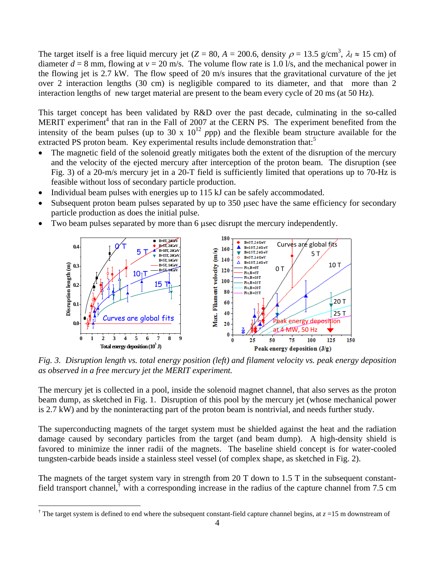The target itself is a free liquid mercury jet (*Z* = 80, *A* = 200.6, density  $\rho$  = 13.5 g/cm<sup>3</sup>,  $\lambda$ <sub>*l*</sub>  $\approx$  15 cm) of diameter  $d = 8$  mm, flowing at  $v = 20$  m/s. The volume flow rate is 1.0 l/s, and the mechanical power in the flowing jet is 2.7 kW. The flow speed of 20 m/s insures that the gravitational curvature of the jet over 2 interaction lengths (30 cm) is negligible compared to its diameter, and that more than 2 interaction lengths of new target material are present to the beam every cycle of 20 ms (at 50 Hz).

This target concept has been validated by R&D over the past decade, culminating in the so-called MERIT experiment<sup>4</sup> that ran in the Fall of 2007 at the CERN PS. The experiment benefited from the intensity of the beam pulses (up to 30 x  $10^{12}$  *ppp*) and the flexible beam structure available for the extracted PS proton beam. Key experimental results include demonstration that:<sup>5</sup>

- The magnetic field of the solenoid greatly mitigates both the extent of the disruption of the mercury and the velocity of the ejected mercury after interception of the proton beam. The disruption (see Fig. 3) of a 20-m/s mercury jet in a 20-T field is sufficiently limited that operations up to 70-Hz is feasible without loss of secondary particle production.
- Individual beam pulses with energies up to 115 kJ can be safely accommodated.
- Subsequent proton beam pulses separated by up to 350 usec have the same efficiency for secondary particle production as does the initial pulse.
- Two beam pulses separated by more than 6 used disrupt the mercury independently.



*Fig. 3. Disruption length vs. total energy position (left) and filament velocity vs. peak energy deposition as observed in a free mercury jet the MERIT experiment.*

The mercury jet is collected in a pool, inside the solenoid magnet channel, that also serves as the proton beam dump, as sketched in Fig. 1. Disruption of this pool by the mercury jet (whose mechanical power is 2.7 kW) and by the noninteracting part of the proton beam is nontrivial, and needs further study.

The superconducting magnets of the target system must be shielded against the heat and the radiation damage caused by secondary particles from the target (and beam dump). A high-density shield is favored to minimize the inner radii of the magnets. The baseline shield concept is for water-cooled tungsten-carbide beads inside a stainless steel vessel (of complex shape, as sketched in Fig. 2).

The magnets of the target system vary in strength from 20 T down to 1.5 T in the subsequent constantfield transport channel, with a corresponding increase in the radius of the capture channel from 7.5 cm

1

<sup>&</sup>lt;sup> $\dagger$ </sup> The target system is defined to end where the subsequent constant-field capture channel begins, at  $z = 15$  m downstream of